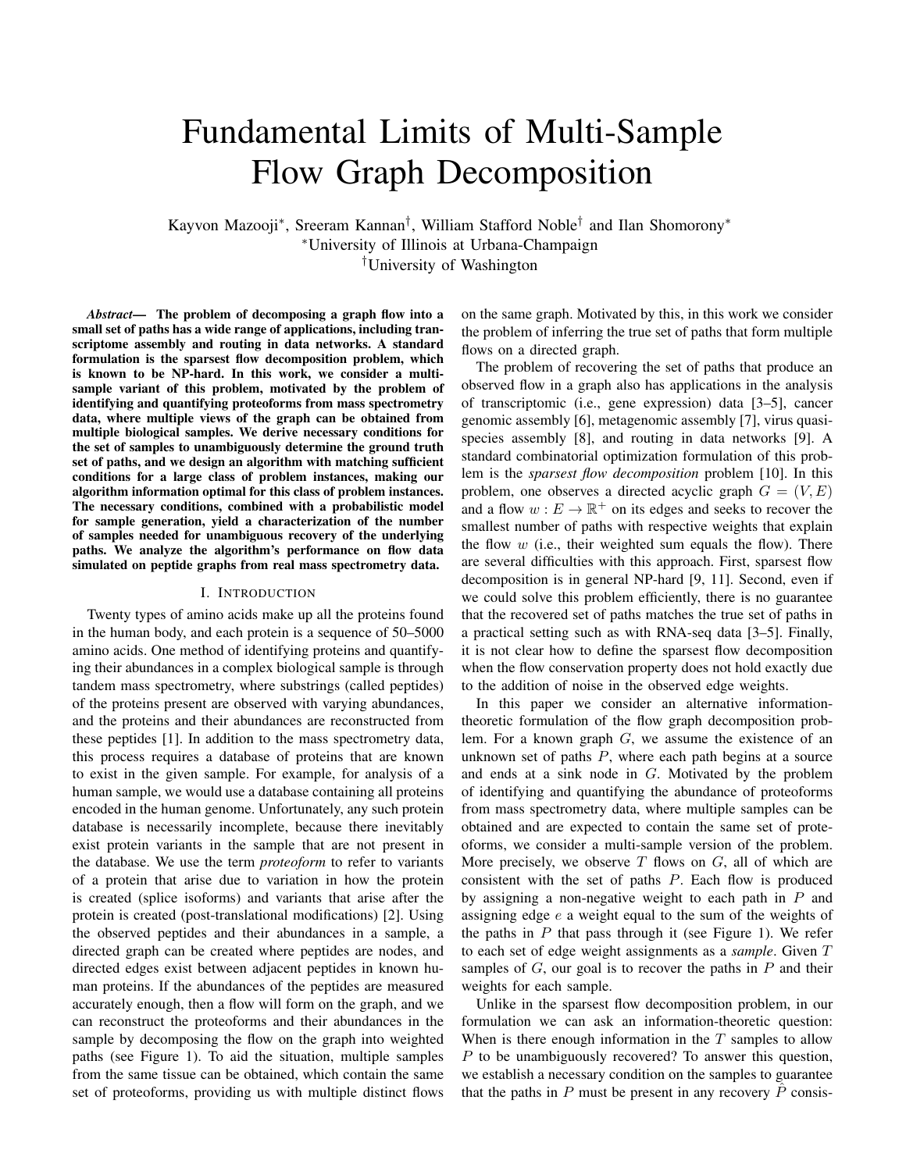# Fundamental Limits of Multi-Sample Flow Graph Decomposition

Kayvon Mazooji<sup>∗</sup> , Sreeram Kannan† , William Stafford Noble† and Ilan Shomorony<sup>∗</sup> <sup>∗</sup>University of Illinois at Urbana-Champaign †University of Washington

*Abstract*— The problem of decomposing a graph flow into a small set of paths has a wide range of applications, including transcriptome assembly and routing in data networks. A standard formulation is the sparsest flow decomposition problem, which is known to be NP-hard. In this work, we consider a multisample variant of this problem, motivated by the problem of identifying and quantifying proteoforms from mass spectrometry data, where multiple views of the graph can be obtained from multiple biological samples. We derive necessary conditions for the set of samples to unambiguously determine the ground truth set of paths, and we design an algorithm with matching sufficient conditions for a large class of problem instances, making our algorithm information optimal for this class of problem instances. The necessary conditions, combined with a probabilistic model for sample generation, yield a characterization of the number of samples needed for unambiguous recovery of the underlying paths. We analyze the algorithm's performance on flow data simulated on peptide graphs from real mass spectrometry data.

### I. INTRODUCTION

Twenty types of amino acids make up all the proteins found in the human body, and each protein is a sequence of 50–5000 amino acids. One method of identifying proteins and quantifying their abundances in a complex biological sample is through tandem mass spectrometry, where substrings (called peptides) of the proteins present are observed with varying abundances, and the proteins and their abundances are reconstructed from these peptides [1]. In addition to the mass spectrometry data, this process requires a database of proteins that are known to exist in the given sample. For example, for analysis of a human sample, we would use a database containing all proteins encoded in the human genome. Unfortunately, any such protein database is necessarily incomplete, because there inevitably exist protein variants in the sample that are not present in the database. We use the term *proteoform* to refer to variants of a protein that arise due to variation in how the protein is created (splice isoforms) and variants that arise after the protein is created (post-translational modifications) [2]. Using the observed peptides and their abundances in a sample, a directed graph can be created where peptides are nodes, and directed edges exist between adjacent peptides in known human proteins. If the abundances of the peptides are measured accurately enough, then a flow will form on the graph, and we can reconstruct the proteoforms and their abundances in the sample by decomposing the flow on the graph into weighted paths (see Figure 1). To aid the situation, multiple samples from the same tissue can be obtained, which contain the same set of proteoforms, providing us with multiple distinct flows

on the same graph. Motivated by this, in this work we consider the problem of inferring the true set of paths that form multiple flows on a directed graph.

The problem of recovering the set of paths that produce an observed flow in a graph also has applications in the analysis of transcriptomic (i.e., gene expression) data [3–5], cancer genomic assembly [6], metagenomic assembly [7], virus quasispecies assembly [8], and routing in data networks [9]. A standard combinatorial optimization formulation of this problem is the *sparsest flow decomposition* problem [10]. In this problem, one observes a directed acyclic graph  $G = (V, E)$ and a flow  $w : E \to \mathbb{R}^+$  on its edges and seeks to recover the smallest number of paths with respective weights that explain the flow  $w$  (i.e., their weighted sum equals the flow). There are several difficulties with this approach. First, sparsest flow decomposition is in general NP-hard [9, 11]. Second, even if we could solve this problem efficiently, there is no guarantee that the recovered set of paths matches the true set of paths in a practical setting such as with RNA-seq data [3–5]. Finally, it is not clear how to define the sparsest flow decomposition when the flow conservation property does not hold exactly due to the addition of noise in the observed edge weights.

In this paper we consider an alternative informationtheoretic formulation of the flow graph decomposition problem. For a known graph  $G$ , we assume the existence of an unknown set of paths  $P$ , where each path begins at a source and ends at a sink node in G. Motivated by the problem of identifying and quantifying the abundance of proteoforms from mass spectrometry data, where multiple samples can be obtained and are expected to contain the same set of proteoforms, we consider a multi-sample version of the problem. More precisely, we observe  $T$  flows on  $G$ , all of which are consistent with the set of paths  $P$ . Each flow is produced by assigning a non-negative weight to each path in  $P$  and assigning edge e a weight equal to the sum of the weights of the paths in  $P$  that pass through it (see Figure 1). We refer to each set of edge weight assignments as a *sample*. Given T samples of  $G$ , our goal is to recover the paths in  $P$  and their weights for each sample.

Unlike in the sparsest flow decomposition problem, in our formulation we can ask an information-theoretic question: When is there enough information in the  $T$  samples to allow P to be unambiguously recovered? To answer this question, we establish a necessary condition on the samples to guarantee that the paths in P must be present in any recovery  $\hat{P}$  consis-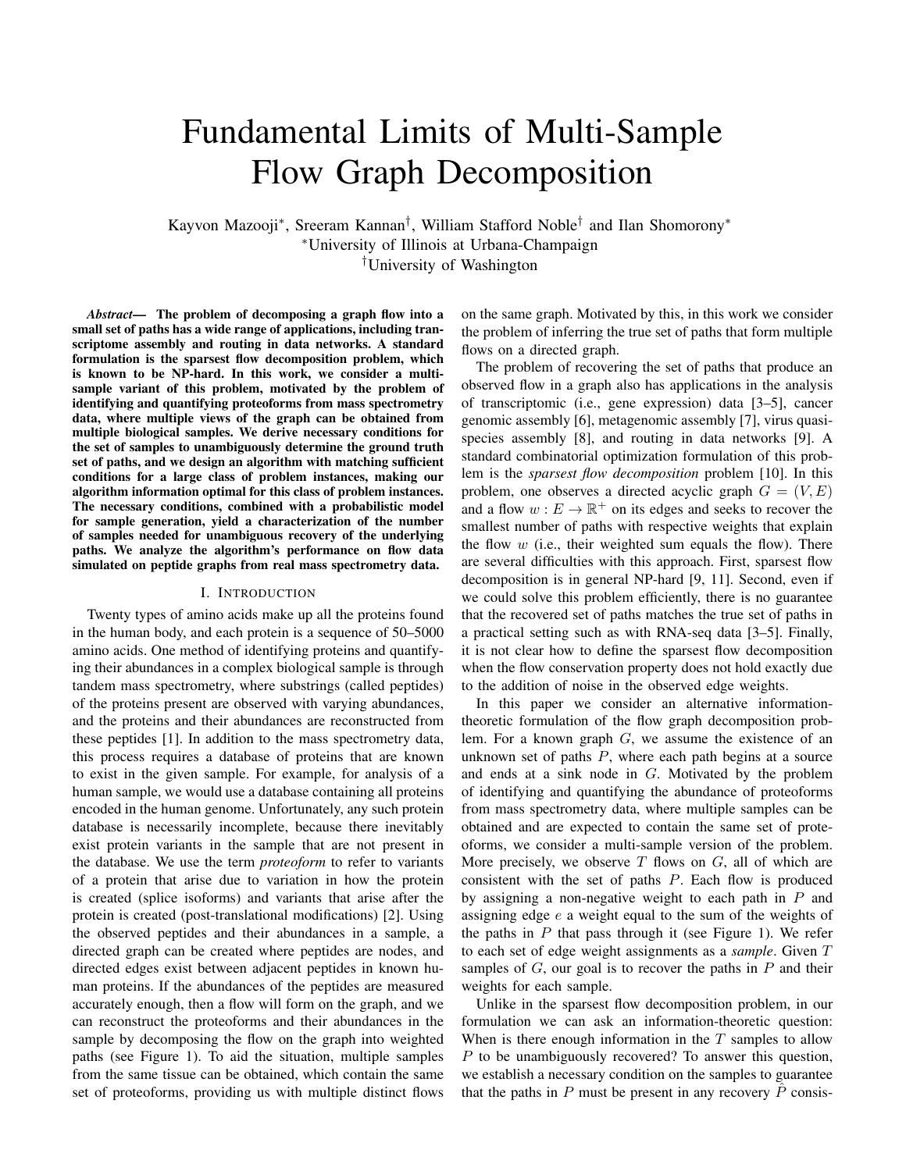

Fig. 1. Example of a peptide graph G from real mass spectrometry data. Each peptide node is associated with an amino acid sequence. In this example, the sparsest flow decomposition of G is not equal to the true set of paths P.

tent with the data. We then establish a sufficient condition on the samples and the graph G for correctly reconstructing all the paths in  $P$  using an algorithm we design. The necessary condition we derive is equivalent to the sufficient condition for a large class of  $(G, P)$ , making our algorithm informationoptimal for this class of  $(G, P)$ . Under the assumption that the weights of paths in  $P$  are i.i.d. uniformly distributed, we derive an upper bound on the number of necessary and sufficient samples for this class of  $(G, P)$ . We then test the algorithm's performance on flow data simulated on real peptide graphs obtained from mass spectrometry experiments.

#### II. PRELIMINARIES AND PROBLEM SETTING

Following standard convention, we use  $[n] = \{1, 2, \ldots, n\}.$ We let  $G = (V, E)$  denote a directed acyclic graph with nodes  $V$  and edges  $E$ . An edge  $e$  that starts at node  $u$  and ends at node v is denoted by  $(u, v)$ . We let  $v_{\text{in}}(e)$  and  $v_{\text{out}}(e)$  be the start and end nodes of  $e$ . For  $v \in V$ , an *in-edge* is an edge that ends at v, and an *out-edge* is an edge that begins at v. The set of in-edges for v is denoted by  $E_{in}(v)$ , and the set of out-edges for v is denoted by  $E_{out}(v)$ . The *in-degree* of v is equal to  $|E_{in}(v)|$  and the *out-degree* is equal to  $|E_{out}(v)|$ . An in-edge of v begins at an *in-node* of v, and an out-edge of v ends at an *out-node* of v. The set of in-nodes of v is denoted by  $V_{\text{in}}(v)$ , and the set of out-nodes of v is denoted by  $V_{\text{out}}(v)$ . A *source* in G is a node with in-degree 0, and a *sink* in G is a node with out-degree 0. A *path* is a sequence of nodes  $(v_1, v_2, ..., v_n)$  where  $(v_i, v_{i+1})$  is an edge for  $i \in [n-1]$ . A *subpath* of a path p is a contiguous subsequence of nodes in p. With slight abuse of notation, for an edge  $e \in E$  and path  $p \in P$ , we write  $e \in p$  if  $e = (v_i, v_{i+1})$  for adjacent nodes  $v_i$  and  $v_{i+1}$  in  $\beta$ . A *flow* on G is  $\beta$  mapping  $w : E \to \mathbb{R}^+$  so that,  $\forall v \in V$ ,  $e2E_{\text{in}}(v) w(e) = e2E_{\text{out}}(v) w(e)$ .

Let  $P$  denote the unknown set of paths in  $G$ . We observe T samples, each of which is a flow  $w_t$ ,  $t = 1, \ldots, T$ . We denote the set of samples by  $T$ . Each  $w_t$  must be *consistent* with the set of paths  $P$ ; i.e., it must be obtained by assigning a non-negative abundance  $\alpha_p$  to each path  $p \in P$ , and letting  $\mathbf{g}_t(e) =$  $p.e2p \alpha p$ . For a set of edges  $E^{\ell}$ , we let  $w_t(E^{\ell})$  $\mathcal{L}(e) = \lim_{p: e \geq p} \alpha_p$ . For a set of edges  $E^{\psi}$ , we let  $w_t(E^{\psi}) =$ <br> $e \geq E^{\psi} w_t(e)$ . For a subpath  $(v_1, \dots, v_k)$  of a path in P, we let  $w_t((v_1, \ldots, v_k))$  denote the sum of the weights of all paths in P that include  $(v_1, \ldots, v_k)$  as a subpath.

Given the set of observed flows  $\mathcal{T}$ , our goal is to recover the set of paths P. Rather than considering a combinatorial optimization formulation such as the sparsest flow decomposition, we instead ask an information-theoretic question: When does the set of samples  $T$  contain enough information for the unambiguous recovery of  $P$ ? We formalize this as follows.

Definition 1. *A set of samples* T *for* G *reveals* P *if any set of paths*  $P^{\theta}$  *consistent with*  $T$  *must satisfy*  $P \subset P^{\theta}$ *.* 

Our goal is to find an algorithm that reconstructs  $P$  and the corresponding path weights for all samples from  $T$  whenever  $T$  reveals  $P$ . We are also interested in understanding how large  $T$  should be for it to reveal P. To study that question, we assume that the abundances  $w_t(p)$  are i.i.d.  $U(0, 1)$  random variables, for all  $p \in P$ , and we define:

**Definition 2.** *The sample complexity*  $T(\epsilon)$  *is the minimum number of samples needed to guarantee that* T *reveals* P *with probability at least*  $1 - \epsilon$ *.* 

The algorithms and theory discussed in the next sections will rely on the notion of decomposing a node  $v \in V$  given T samples. A *decomposition* of  $v$  is the replacement of  $v$  in G by a set  $V^{\theta}$  of nodes such that:

- 1) each  $v^{\theta} \in V^{\theta}$  has in-degree one and out-degree one, and has one in-node that is an in-node of  $v$ , and has one out-node that is an out-node of  $v$ ;
- 2) the assignment of edge weights to each new edge in each sample is such that the modified graph still forms a flow for each sample.

In order to keep track of original paths in  $G$  when we decompose a node v into  $V^{\ell}$ , we need to define a function  $\ell$  where  $\ell(v^{\theta}) = v$  for all  $v^{\theta} \in V^{\theta}$ . For a path  $p = (v_1, v_2, \dots, v_n)$  in G, we let  $\ell(p) = (\ell(v_1), \ell(v_2), \ldots, \ell(v_n)).$ 

## III. MAIN RESULTS

Our first main result states that a simple algorithm for recovering P is information-optimal for a broad class of  $(G, P)$ . To describe this class of  $(G, P)$ , we will need the notion of a "good" node, which we define at the end of this section (Definition 3).

**Theorem 1.** *Suppose*  $(G, P)$  *is such that all nodes are good. Then the Topological Decomposition algorithm (Algorithm 1) outputs*  $\hat{P} = P$  *with correct path weights for all samples if and only if the set of samples* T *reveals* P*.*

Theorem 1 implies that topologically decomposing nodes in  $G$  in the sparsest possible way (Algorithm 1) is informationoptimal for the broad class of  $(G, P)$  such that all nodes are good. This is proved in Section IV by establishing necessary and sufficient conditions for  $T$  to reveal P for the class of  $(G, P)$  where all nodes are good.

Our second main result is an an upper bound on  $T(\epsilon)$  for the class of  $(G, P)$  where all nodes are good.

Theorem 2. *Suppose* (G, P) *is such that all nodes are good. Let* k *be the maximum number of paths in* P *passing through any given node in* G*. Then*

$$
\frac{\ln(1/\epsilon)}{-\ln(1-\frac{1}{k!})} \le T \quad (\epsilon) \le \frac{\ln \frac{jVjk}{l}}{-\ln 1 - \frac{1}{k!}}. \tag{1}
$$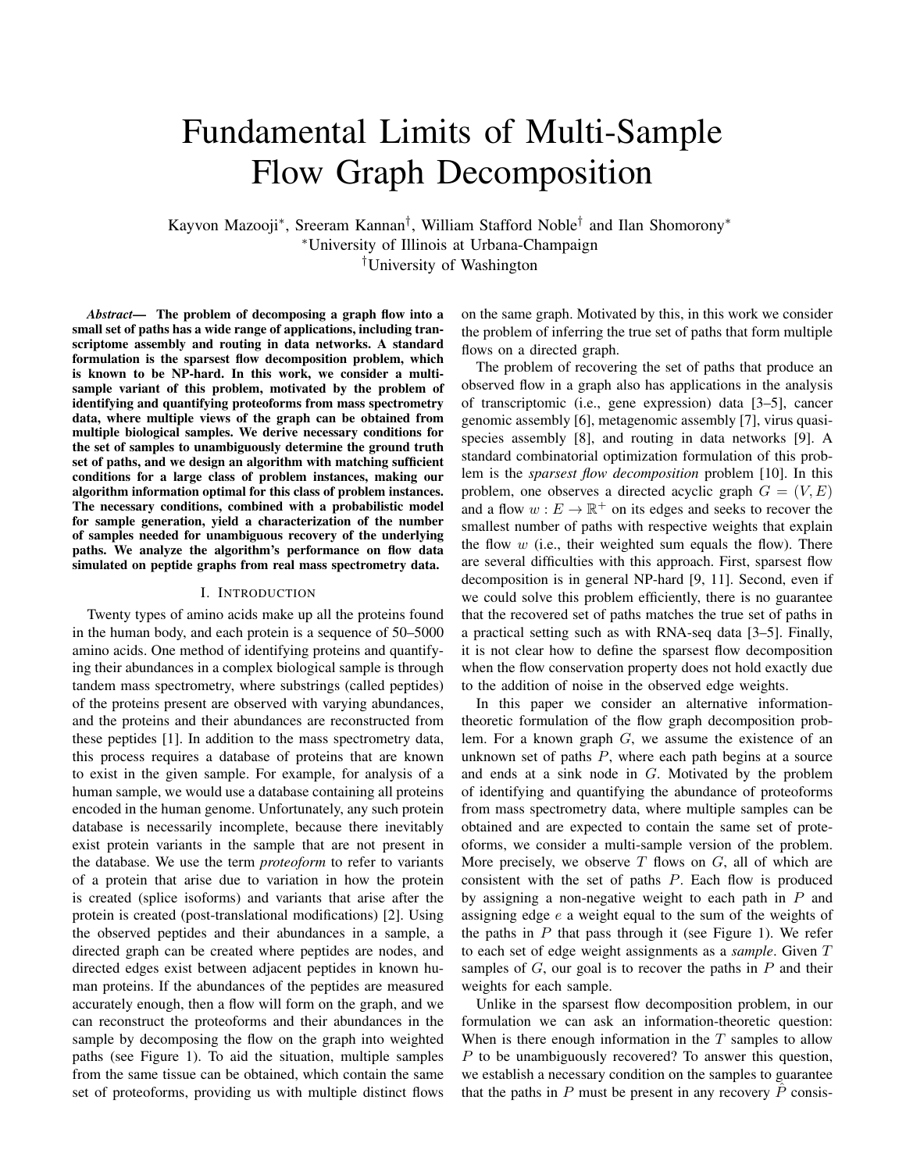Algorithm 1: Topological Decomposition

Data:  $G = (V, E)$ **Result:**  $\dot{P}$ ,  $\{\hat{w}_t : t \in [T]\}$ 1 Initiate a queue  $Q$ ; 2 Add all nodes  $v \in V$  with  $|E_{\text{in}}(v)| > 1$  to Q in topological order; 3 while  $Q \neq \emptyset$  do<br>4  $v \leftarrow$  first noo 4  $v \leftarrow$  first node in Q;<br>
5 memove v from Q; remove v from  $Q$ ; 6 compose v into the smallest possible set  $V^{\theta}$ ; 7 **for**  $u \in V_{out}(v^0)$  for  $v^0 \in V^0$  do 8 **i** if  $E_{in}(u) > 1$  and u is not already in Q then | add u to the front of  $Q$ ; 10  $\hat{P} \leftarrow$  the set of  $(\ell(v_1), \ell(v_2), ..., \ell(v_k))$  for all paths  $p = (v_1, v_2, ..., v_k)$  in decomposed graph that start at a source and end at a sink; 11 for  $p$  in  $\hat{P}$  do

12  $\hat{w}_t(p) \leftarrow$  weight of last edge in p in decomposed graph for sample  $t$ ;

Theorem 2 characterizes the sample complexity up to a log factor. We also point out that  $-1/\ln(1-1/k!) \sim k!$ . This shows that if the number of paths that pass through a single node is not too large, then the number of samples needed is reasonable for  $(G, P)$  where all nodes are good.

In order to formally define when a node is good, we first need to define, given G, P, and a node v, the *decomposed graph before* v, denoted by  $G_V^{\theta}$ . The graph  $G_V^{\theta}$  is obtained by decomposing every node before  $v$  in topological order in such a way that all paths in  $P$  are preserved and all nodes before  $v$  have in-degree at most one. This is illustrated in Figure 2(b). Observe that for each node  $u$  that comes before v in  $G_V^{\theta}$  in topological order, there is only one path that starts at a source in  $G_V^v$  and ends at u. We denote this unique path by  $G_{\nu}^{\emptyset}$ : u]. Any path  $G_{\nu}^{\emptyset}$ : u] for u before v in topological order is a subpath of a path in  $P$ . Now, for a node  $v$ , we define a bipartite graph  $B_v$  as follows. The left nodes of  $B_v$ are the in-nodes of  $v$  in  $G_v^{\theta}$  and the right nodes of  $B_v$  are the out-nodes of v in  $G_v^{\theta}$ , and they are connected according to the paths  $P$ , as illustrated in Figure 3(c,d).

## **Definition 3.** A node v is good if  $B_v$  has no cycles.

Notice that, if a node is not good, then the presence of a cycle in  $B_v$  allows an amount of flow  $\epsilon$  to be added and subtracted in an alternating manner along the cycle while preserving flow conservation (Figure 2(e)). By focusing on  $(G, P)$  with only good nodes, we avoid this ambiguity and prove that Algorithm 1 is successful if  $T$  reveals P.

## IV. PROOF OF THEOREM 1

We prove Theorem 1 by first establishing (in Lemma 1) a necessary condition for  $T$  to reveal P that holds for any  $(G, P)$ . This condition is based on an application of the



Fig. 2. (a) Example of a graph  $G$  and paths  $P$ . (b) For a node  $V$ , we build  $G_v^{\gamma}$  by decomposing all nodes before  $v$  in topological order (nodes in blue) so that the subgraph graph formed by these nodes is an arborescence. (c,d) The bipartite graph  $B_v$  is formed by the in-nodes and the out-nodes of  $V$  in  $G'_{v}$ , connected according to P. (d,e) If  $B_{v}$  contains a cycle,  $v$  is not good.

max-flow min-cut theorem [12]. For a node  $v$ , consider the decomposed graph before v,  $G_V^{\psi}$  (see Figure 2(b)). Suppose  $V_{\text{in}}(v) = \{x_1, \ldots, x_{jV_{\text{in}}(v)j}\}\$  and  $V_{\text{out}}(v) = \{y_1, \ldots, y_{jV_{\text{out}}(v)j}\}.$ We then consider the graph  $H<sub>V</sub>$  shown in Figure 3(a), obtained by first creating a complete bipartite graph between  $V_{\text{in}}(v)$ and  $V_{out}(v)$  (with capacity infinity for every edge) and then adding an in-edge to each  $x_i$  with capacity  $w_t(x_i, v)$  and an out-edge to each  $y_i$  with capacity  $w_t(v, y_i)$ . Notice that any set of paths going through  $v$  satisfying the flow constraints in  $G_V^0$  corresponds to a *maximum* flow in this graph (since the capacities of in-edges and out-edges will be fully used). Notice that the only two minimum cuts in  $H_V$  are  $\{(s_i, x_i)$ :  $1 \leq i \leq |V_{\text{in}}(v)|$  or  $\{(y_i, t_i) : 1 \leq i \leq |V_{\text{out}}(v)|\}$ , with mincut value  $w_t(E_{in}(v)) = w_t(E_{out}(v))$ . This is because, if one in-edge, say  $(s_1, x_1)$ , is not included in the cut, all out-edges must be included (or else an edge with infinite capacity will have to be picked).

Next, we notice that sample  $t$  reveals the existence of a path  $p \in P$  going through  $(x_i, v, y_j)$  if and only if the removal of edge  $(x_i, y_j)$  in  $H_V$  reduces the min-cut value. To see this, we notice that, if the removal of  $(x_i, y_j)$  in  $H_v$  does not reduce the min-cut, by the max-flow min-cut theorem, there exists a flow in  $H_V$  that does not use  $(x_i, y_j)$  and still achieves total flow  $w_t(E_{\text{in}}(v)) = w_t(E_{\text{out}}(v))$ , which means that it is possible to have a flow decomposition  $P^{\theta}$  of  $G^{\theta}_{V}$  that does not include



Fig. 3. (a) Graph  $H<sub>v</sub>$  used to derive conditions for  $T$  to reveal P. Notice that any set of paths P consistent with  $T$  induces a maximum flow in  $G'_v$ with max-flow value  $W_t(E_{in}(v)) = W_t(E_{out}(v))$ . (b) By removing  $(X_1, Y_1)$ , the only possible new minimum cut is the set of edges circled in blue.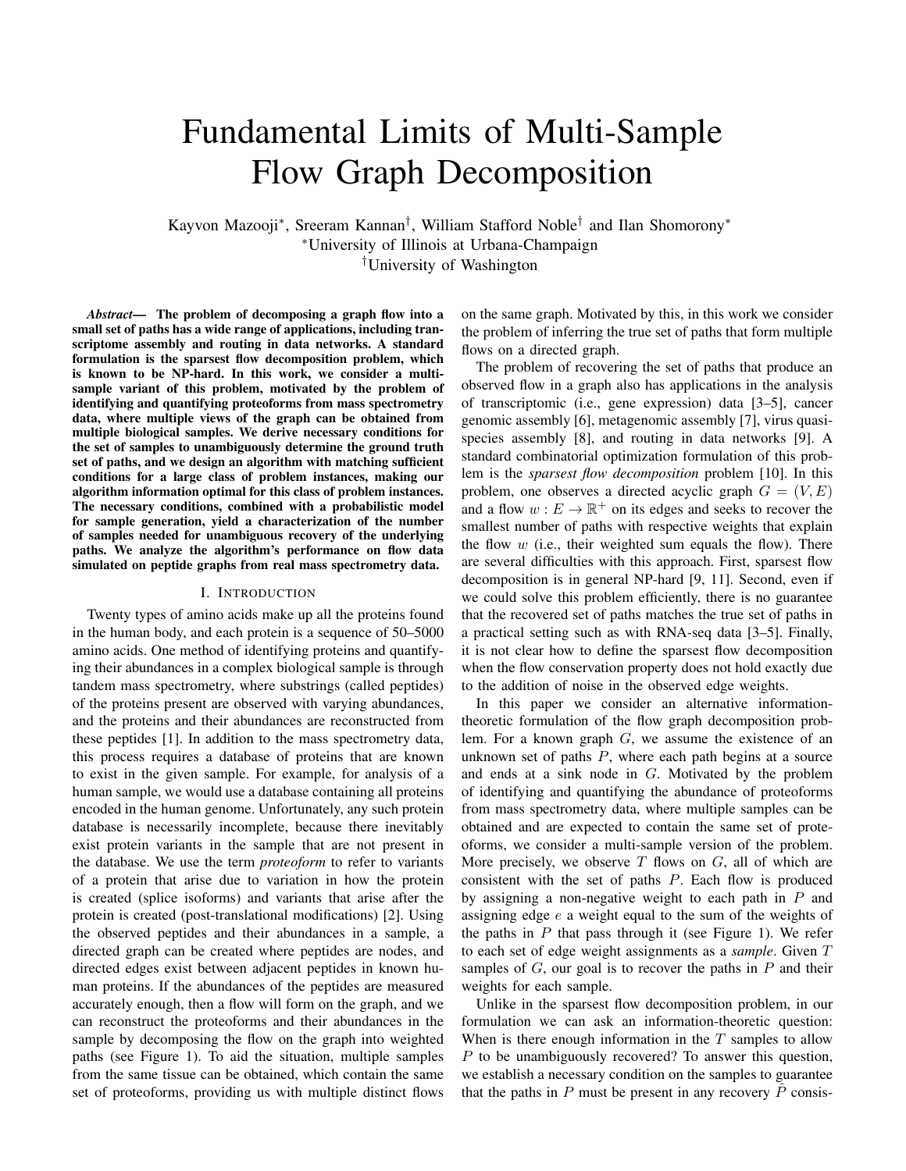the path p containing  $(x_i, v, y_j)$ . Conversely, if the min-cut is reduced by the removal of  $(x_i, y_j)$ , then any set of paths  $P$ that explains sample t must contain a path through  $(x_i, v, y_j)$ .

Finally, we need to find conditions for the removal of  $(x_i, y_j)$  to reduce the min-cut value of  $H_v$ . Notice, from Figure 3(b), that in the graph obtained by removing  $(x_1, y_1)$ from  $H_v$ , the only possible minimum cuts are  $\{(s_i, x_i) : 1 \leq$  $i \leq |V_{\text{in}}(v)|\}, \{(y_i, t_i) : 1 \leq i \leq |V_{\text{out}}(v)|\}, \text{ or }$ 

$$
\{(s_i, x_i) : 2 \leq i \leq |V_{\text{in}}(v)|\} \cup \{(y_i, t_i) : 2 \leq i \leq |V_{\text{out}}(v)|\}.
$$

This is because, any finite cut that does not contain  $(s_1, x_1)$ must contain  $\{(y_i, t_i) : 2 \leq i \leq |V_{out}(v)|\}$  (and similarly for not containing  $(y_1, t_1)$ ). Therefore, the removal of  $(x_1, y_1)$ reduces the min-cut of  $H<sub>V</sub>$  if and only if

$$
w_t(E_{\text{in}}(v)\backslash(x_1,v))+w_t(E_{\text{out}}(v)\backslash(v,y_1)) < w_t(E_{\text{in}}(v)).
$$
 (2)

For a general edge  $(x_i, y_j)$ , this condition can be equivalently expressed (by noticing that  $w_t(E_{in}(v)) = w_t(E_{out}(v))$ ) as

$$
w_t(E_{\text{in}}(v) \setminus (x_i, v)) < w_t((v, y_j)). \tag{3}
$$

$$
w_t(E_{\text{out}}(v) \setminus (v, y_j)) < w_t((x_i, v)), \tag{4}
$$

Moreover, since

$$
w_t(E_{\text{in}}(v) \setminus (x_i, v)) = \begin{cases} \times & \times \\ w_t((x, v, y)) \\ \times \infty & \times \\ + w_t((v, y_j)) - w_t((x_i, v, y_j)), \end{cases}
$$

condition (3) can be expressed in terms of triplets  $(x, v, y)$  as

$$
w_t((x, v, y)) < w_t((x_i, v, y_j)). \tag{5}
$$
\n
$$
x \in x_i \quad y \in y_j
$$

Using the form in (3), the above discussion implies the following necessary conditions for  $T$  to reveal  $P$ :

Lemma 1. *In order for the set of samples* T *to reveal* P*, it must hold that, for all*  $v \in G$  *and all*  $u, w \in G_v^{\emptyset}$  *such that*  $(\ell(G^{\emptyset}_{\mathsf{v}}[:u]), v, w)$  *is a subpath of some path in P*,

$$
w_t(E_{in}(v) \setminus (u, v)) < w_t((v, w)) \tag{6}
$$

*in*  $G_V^{\theta}$  for some sample  $t \in [T]$ .

Lemma 1 is illustrated in Figure 4. The two red paths in Figure 4(a) violate the condition in (6). From Lemma 1,  $\mathcal T$  should not reveal their presence. This is illustrated in Figure 4(b), where a set of paths consistent with the flow can be found without including either of the red paths.



Fig. 4. (a) For the true paths  $(1, 4, 5)$  and  $(3, 4, 7)$  shown in red, the necessary condition is not satisfied. The necessary condition is satisfied for  $(2, 4, 6)$ , so it's present in every decomposition. (b) We can satisfy the flow constraint without including the paths  $(1, 4, 5)$  or  $(3, 4, 7)$  in the decomposition of 4.

In order to prove Theorem 1, we need to prove that Algorithm 1 recovers  $P$  correctly if, in addition to the necessary condition in Lemma 1, all nodes in G are good (Definition 3).

Lemma 2. *Algorithm 1 reconstructs* P *and the corresponding path weights for all*  $T$  *samples if*  $(G, T)$  *satisfies the following:* 

- 1) *all nodes in* G *are good.*
- 2) *for any*  $v \in G$ , and any nodes  $u, w$  in  $G_v^{\theta}$  such that  $(\ell(G^{\emptyset}_{\mathsf{v}}[:u]), v, w)$  *is a subpath of a path in P*,

$$
w_t(E_{in}(v) \setminus (u, v)) < w_t((v, w)) \tag{7}
$$

*in*  $G_V^{\theta}$  for some sample  $t \in [T]$ .

*Proof:* Consider a node v and let a be the node following v in topological order. We will prove that if  $G_{V}^{\ell}$  is the graph produced by the algorithm before  $v$  is decomposed, and if conditions (1) and (2) hold for v, then  $G_{\mathcal{A}}^{\emptyset}$  is the graph after v is decomposed. Given this property, at the end of the algorithm, all nodes will be correctly decomposed with correct weights for each sample and the set of paths that start at a source and end at a sink in the resulting graph will be equal to  $P$ .

Suppose  $G_V^{\theta}$  is the graph at the beginning of the iteration where v is decomposed. Suppose nodes  $u, w \in G_v^{\emptyset}$  are such that  $(\ell(G^{\emptyset}_{\nu}[:u]), v, w)$  is a subpath of a path in P. Let  $e_1 = (u, v)$  and  $e_2 = (v, w)$ . If there is some  $t \in [T]$ such that  $w_t(E_{\text{in}}(v) \backslash e_1) < w_t(e_2)$ , then clearly a path going through  $e_1$  and  $e_2$  must exist in P because there is not enough weight in the set of edges  $E_{\text{in}}(v) \backslash e_1$  to completely satisfy the weight of  $e_2$  in sample t. Therefore, if the second condition in the theorem statement is satisfied, all  $u, w$  such that  $(\ell(G_{\nu}^{\theta}[:u]), v, w)$  is a subpath of a path in P are included in the decomposition of  $v$ , and there are no false connections between in-nodes and out-nodes of  $v$  in the decomposition since the algorithm picks the sparsest decomposition. This means that the decomposition of  $v$  corresponds exactly to the bipartite graph  $B<sub>V</sub>$  used in Definition 3. Then, by the first condition, there is no cycle in  $B<sub>v</sub>$ , which implies that there is a unique way to assign edge weights after decomposing  $v$  (since there are no cycles, one can repeatedly find a node with in- or out-degree one in  $B_v$ , assign the weight of the corresponding edge and remove it). Thus, we have recovered the true decomposition of  $v$  with the correct weights for each sample, and the invariant holds.

## V. PROOF OF THEOREM 2

#### *A. Upper Bound*

We prove the upper bound on  $T(\epsilon)$  by first calculating the probability that condition (2) in Lemma 2 holds in a sample. Given the equivalence between (4), (3) and (5), established in Section IV, we can instead compute the probability that, for some  $(u, v, w)$  that is a subpath of some  $p \in P$ , we have

$$
\begin{aligned}\n\wedge & \wedge & w_t((x, v, y)) < w_t((u, v, w)), \\
\text{for } & w_t(x, v, w) > w\end{aligned}\n\tag{8}
$$

which then implies that the tth sample reveals  $(x, y, z)$ . In what follows, we let  $U$  denote a random variable uniformly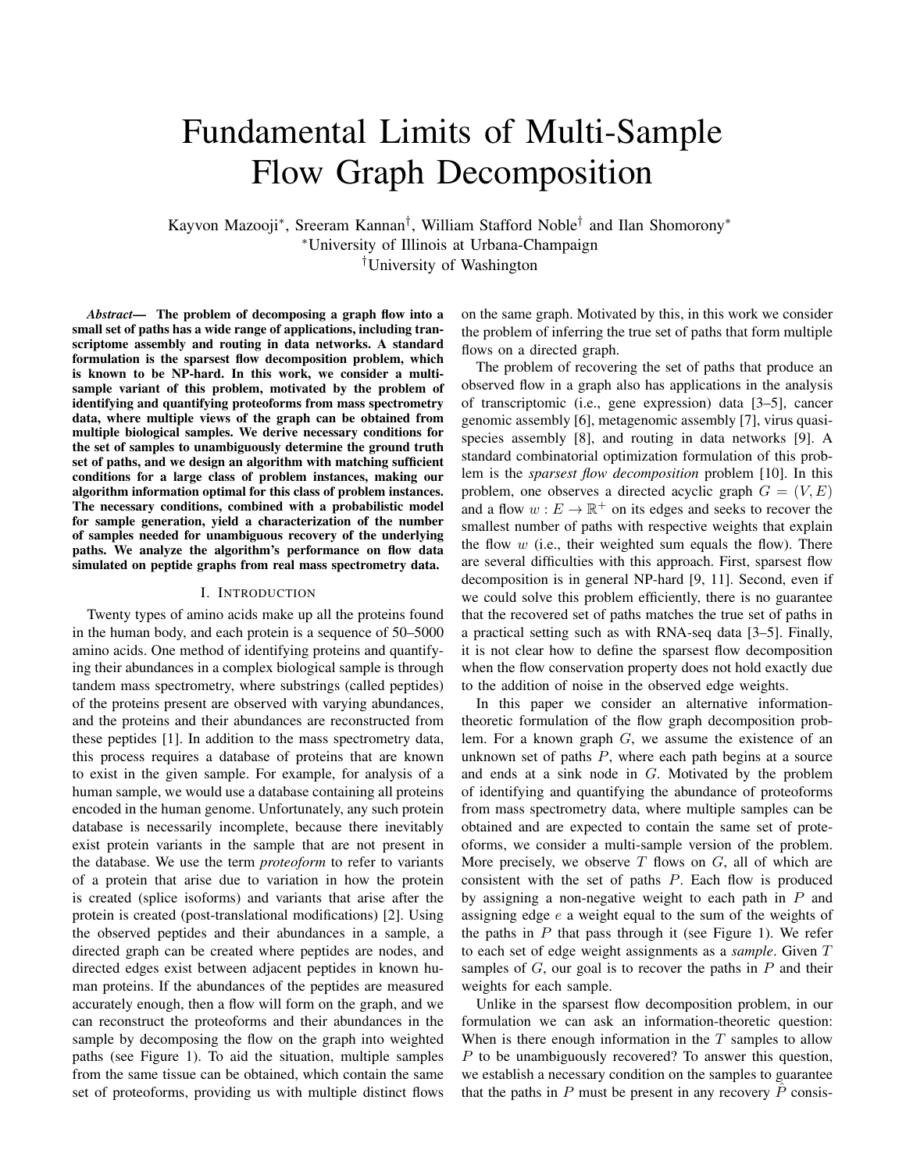distributed in  $(0, 1)$  and let  $H_s$  denote a random variable with the Irwin-Hall distribution with parameter s.

Lemma 3. *Suppose that for some node* v *in* G *and nodes*  $u, w \in G_V^{\emptyset}$  there are a paths in P that go through the subpath  $(\ell(G^{\theta}_{\mathcal{V}}[:u]), v, w)$ , and b paths that pass through v that do *not go through either*  $\ell(G^{\theta}_V[:u])$  *or w. The probability that* (u, v, w) *satisfies (8) is given by*

$$
\frac{1}{(b+a)!} \sum_{n=0}^{\text{Rec}} (-1)^n \frac{b+a}{n} (a-n)^{b+a}.
$$
 (9)

*Proof:* We have that condition (8) holds with probability  $P(H_b < H_a)$ . The pdf of  $H_b - H_a$  is given by the pdf of  $H_{b+a}$  shifted to the left by a. Thus,

$$
P(H_b - H_a < 0) = F_{H_{b+a}}(a) \tag{10}
$$
\n
$$
= \frac{1}{(b+a)!} \sum_{n=0}^{\infty} (-1)^n \frac{b+a}{n} \left( a-n \right)^{b+a}
$$

where  $F_X$  is the cumulative distribution function of X. П

With this lemma, we can prove Theorem 2. Recall that  $k$ is the maximum number of paths in  $P$  passing through any given node in  $G$ . Consider a node  $v$  in  $G$ . Then for a pair of nodes  $u, w \in G_v^{\emptyset}$  such that  $(\ell(G_v^{\emptyset}[:u]), v, w)$  is a subpath of a path in  $P$ , we have that (8) holds for a particular sample with probability at least  $\frac{1}{k!}$  by assuming  $a = 1$  and  $b = k - 1$  in Lemma 3. The probability that the condition does not hold for any sample is therefore at most  $1 - \frac{1}{k!}$  $\sigma$  by the independence of the samples. The probability that there is at least one  $v \in G$ and  $u, w \in G_V^{\ell}$  such that (8) does not hold for any sample is upper bounded by  $|V|k \t1 - \frac{1}{k!}$  $\sigma$  by the union bound since there are at most k such pairs of nodes  $u, w \in G_v^{\emptyset}$  for each  $v \in G$ . Thus the probability the conditions in Theorem 1 hold is lower bounded by  $1 - |V|k$   $1 - \frac{1}{k!}$  $\sigma$ . For a probability of error at most  $\epsilon$ , we solve for T to obtain the result.

### *B. Lower Bound*

Suppose the graph is as follows. The set of nodes is  $V = \{u_1, u_2, \ldots, u_k\} \cup \{v\} \cup \{x_1, x_2, \ldots, x_k\}.$  The set of edges is  $E = \{(u_1, v), (u_2, v), \dots, (u_k, v)\} \cup$  $\{(v, x_1), (v, x_2), \ldots, (v, x_k)\}.$  The set of paths is  $P =$  $\{(u_1, v, x_1), (u_2, v, x_2), \dots, (u_k, v, x_k)$ . Clearly, all nodes are good for this problem instance. In order to reveal path  $(u_1, v, x_1)$ , we must have  $w_t(E_{\text{in}}(v) \setminus (u_1, v)) < w_t((v, x_1))$ for some sample  $t$  by Theorem 1. This occurs in a sample with probability  $\frac{1}{k!}$  by Lemma 3. The probability this doesn't occur in T samples is given by  $(1 - \frac{1}{k!})^T$ . Solving for T, we find that a lower bound on T ( $\epsilon$ ) for this problem instance is

$$
T(\epsilon) \ge \frac{\ln(\epsilon)}{\ln(1 - \frac{1}{k!})} \sim k! \ln(1/\epsilon). \tag{11}
$$

#### VI. FASTER ALGORITHM FOR DECOMPOSING A NODE

In Algorithm 1, for each  $v$  with more than one in-edge, we find the sparsest decomposition of the node  $v$ . Finding the sparsest decomposition of  $v$  using brute force search quickly becomes computationally infeasible as the number of in-edges and out-edges of  $v$  increases. We therefore use Algorithm 2 in simulation for fast node decomposition. Theorem 1 still holds when Algorithm 2 is used in place of sparsest node decomposition in Algorithm 1.

Algorithm 2 relies on the following optimization problem. Given a set of new nodes and new edges that may or may not decompose  $v$  in  $G$ , the optimization problem finds the edge weights that minimize the sum of squared violations of the flow constraints. For a set S of node pairs  $u, w$  where  $u \in V_{\text{in}}(v)$  and  $w \in V_{\text{out}}(v)$ , let  $s[0] = u$  and  $s[1] = w$ . The quadratic program is given by

$$
\begin{array}{ccc}\n\mathbb{X} & \mathbb{X} & \mathbb{X} & \mathbb{X} \\
\min_{z_{s:t} & 0: \, s2S; \, t2[7]} & t=1 & u2V_{\text{in}}(v) & \text{s: } s[0]=u \\
& \times & \mathbb{Q}_{w_t((v, w))} & \times & \text{s: } s[1]=u \\
& \times & \mathbb{Q}_{w_t((v, w))} & \times & z_{s,t}A \\
& \times & \mathbb{Z}_{w_t(v)} & \text{s: } s[1]=w\n\end{array} \tag{12}
$$

where the variable  $z_{s,t}$  represents the weight of the path going from  $s[0]$  to  $s[1]$  that we choose. Let  $f(G, v, S)$  be the optimal value of the program and  $g(G, v, S)$  be the optimal solution.

| <b>Algorithm 2:</b> Fast Node Decomposition |                                                                                                                                                                                             |
|---------------------------------------------|---------------------------------------------------------------------------------------------------------------------------------------------------------------------------------------------|
| <b>Data:</b> $G, v, \epsilon$               |                                                                                                                                                                                             |
| <b>Result:</b> $S, q$                       |                                                                                                                                                                                             |
|                                             | $1 S \leftarrow {\{u, w\}}: (u, v, w)$ must exist in decomposition                                                                                                                          |
|                                             | of $v$ } (computed using condition (3));                                                                                                                                                    |
|                                             | $2\;b \leftarrow f(G, v, S);$                                                                                                                                                               |
|                                             | $g \leftarrow g(G, v, S);$                                                                                                                                                                  |
|                                             | 4 while $b > \epsilon$ do                                                                                                                                                                   |
| 5                                           | $R \leftarrow \emptyset$ :                                                                                                                                                                  |
| 6                                           | <b>for</b> $\{u, w\} \notin S$ do                                                                                                                                                           |
| $\overline{7}$                              | $S^{\emptyset} \leftarrow S \cup \{\{u,w\}\};$                                                                                                                                              |
| 8                                           | $\left  b^{\theta} \leftarrow f(G, v, S^{\theta});$                                                                                                                                         |
| 9                                           | if $b^{\theta} < b$ then                                                                                                                                                                    |
| 10                                          |                                                                                                                                                                                             |
| 11                                          |                                                                                                                                                                                             |
| 12                                          | $\left  \begin{array}{c} \left  \begin{array}{c} b \leftarrow b^{\theta}; \\ R \leftarrow S^{\theta}; \\ q \leftarrow g(G, v, S^{\theta}); \end{array} \right. \end{array} \right. \right.$ |
| 13                                          | $S \leftarrow R$ :                                                                                                                                                                          |

#### VII. SIMULATIONS

We now discuss an example of our theory applied to a proteoform inference problem. We construct a peptide graph from a proteoform database as follows.

- 1) For each proteoform in the database of known proteoforms, add all of its peptides as nodes in the graph.
- 2) Connect these observed peptide nodes with directed edges reflecting the order in which they appear in the proteoform.
- 3) Set the weight of a peptide node equal to the peptide's observed abundance.